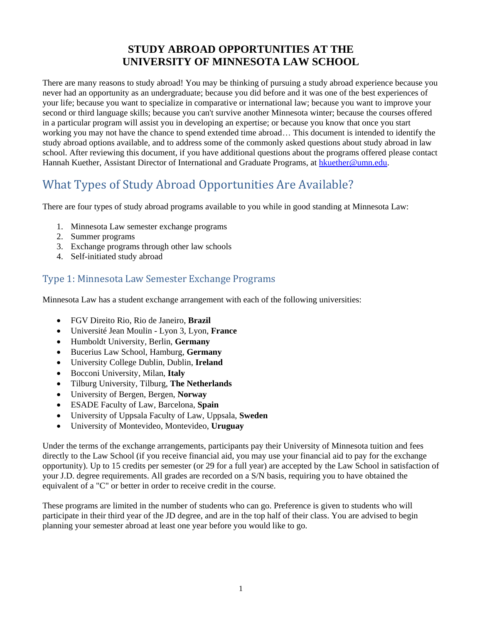# **STUDY ABROAD OPPORTUNITIES AT THE UNIVERSITY OF MINNESOTA LAW SCHOOL**

There are many reasons to study abroad! You may be thinking of pursuing a study abroad experience because you never had an opportunity as an undergraduate; because you did before and it was one of the best experiences of your life; because you want to specialize in comparative or international law; because you want to improve your second or third language skills; because you can't survive another Minnesota winter; because the courses offered in a particular program will assist you in developing an expertise; or because you know that once you start working you may not have the chance to spend extended time abroad… This document is intended to identify the study abroad options available, and to address some of the commonly asked questions about study abroad in law school. After reviewing this document, if you have additional questions about the programs offered please contact Hannah Kuether, Assistant Director of International and Graduate Programs, at [hkuether@umn.edu.](mailto:hkuether@umn.edu)

# What Types of Study Abroad Opportunities Are Available?

There are four types of study abroad programs available to you while in good standing at Minnesota Law:

- 1. Minnesota Law semester exchange programs
- 2. Summer programs
- 3. Exchange programs through other law schools
- 4. Self-initiated study abroad

## Type 1: Minnesota Law Semester Exchange Programs

Minnesota Law has a student exchange arrangement with each of the following universities:

- FGV Direito Rio, Rio de Janeiro, **Brazil**
- Université Jean Moulin Lyon 3, Lyon, **France**
- Humboldt University, Berlin, **Germany**
- Bucerius Law School, Hamburg, **Germany**
- University College Dublin, Dublin, **Ireland**
- Bocconi University, Milan, **Italy**
- Tilburg University, Tilburg, **The Netherlands**
- University of Bergen, Bergen, **Norway**
- ESADE Faculty of Law, Barcelona, **Spain**
- University of Uppsala Faculty of Law, Uppsala, **Sweden**
- University of Montevideo, Montevideo, **Uruguay**

Under the terms of the exchange arrangements, participants pay their University of Minnesota tuition and fees directly to the Law School (if you receive financial aid, you may use your financial aid to pay for the exchange opportunity). Up to 15 credits per semester (or 29 for a full year) are accepted by the Law School in satisfaction of your J.D. degree requirements. All grades are recorded on a S/N basis, requiring you to have obtained the equivalent of a "C" or better in order to receive credit in the course.

These programs are limited in the number of students who can go. Preference is given to students who will participate in their third year of the JD degree, and are in the top half of their class. You are advised to begin planning your semester abroad at least one year before you would like to go.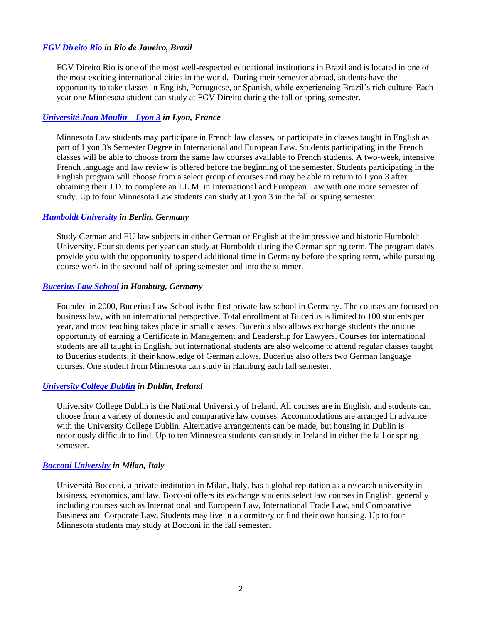### *[FGV Direito Rio](https://direitorio.fgv.br/internacional) in Rio de Janeiro, Brazil*

FGV Direito Rio is one of the most well-respected educational institutions in Brazil and is located in one of the most exciting international cities in the world. During their semester abroad, students have the opportunity to take classes in English, Portuguese, or Spanish, while experiencing Brazil's rich culture. Each year one Minnesota student can study at FGV Direito during the fall or spring semester.

#### *[Université Jean Moulin](http://www.univ-lyon3.fr/) – Lyon 3 in Lyon, France*

Minnesota Law students may participate in French law classes, or participate in classes taught in English as part of Lyon 3's Semester Degree in International and European Law. Students participating in the French classes will be able to choose from the same law courses available to French students. A two-week, intensive French language and law review is offered before the beginning of the semester. Students participating in the English program will choose from a select group of courses and may be able to return to Lyon 3 after obtaining their J.D. to complete an LL.M. in International and European Law with one more semester of study. Up to four Minnesota Law students can study at Lyon 3 in the fall or spring semester.

#### *[Humboldt University](https://www.hu-berlin.de/de) in Berlin, Germany*

Study German and EU law subjects in either German or English at the impressive and historic Humboldt University. Four students per year can study at Humboldt during the German spring term. The program dates provide you with the opportunity to spend additional time in Germany before the spring term, while pursuing course work in the second half of spring semester and into the summer.

#### *[Bucerius Law School](https://www.law-school.de/deutsch/) in Hamburg, Germany*

Founded in 2000, Bucerius Law School is the first private law school in Germany. The courses are focused on business law, with an international perspective. Total enrollment at Bucerius is limited to 100 students per year, and most teaching takes place in small classes. Bucerius also allows exchange students the unique opportunity of earning a Certificate in Management and Leadership for Lawyers. Courses for international students are all taught in English, but international students are also welcome to attend regular classes taught to Bucerius students, if their knowledge of German allows. Bucerius also offers two German language courses. One student from Minnesota can study in Hamburg each fall semester.

#### *[University College Dublin](http://www.ucd.ie/) in Dublin, Ireland*

University College Dublin is the National University of Ireland. All courses are in English, and students can choose from a variety of domestic and comparative law courses. Accommodations are arranged in advance with the University College Dublin. Alternative arrangements can be made, but housing in Dublin is notoriously difficult to find. Up to ten Minnesota students can study in Ireland in either the fall or spring semester.

#### *[Bocconi University](https://www.unibocconi.it/) in Milan, Italy*

Università Bocconi, a private institution in Milan, Italy, has a global reputation as a research university in business, economics, and law. Bocconi offers its exchange students select law courses in English, generally including courses such as International and European Law, International Trade Law, and Comparative Business and Corporate Law. Students may live in a dormitory or find their own housing. Up to four Minnesota students may study at Bocconi in the fall semester.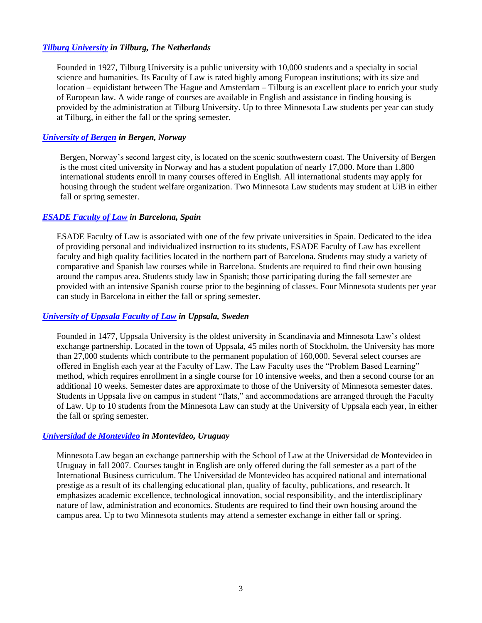### *[Tilburg University](https://www.tilburguniversity.edu/) in Tilburg, The Netherlands*

Founded in 1927, Tilburg University is a public university with 10,000 students and a specialty in social science and humanities. Its Faculty of Law is rated highly among European institutions; with its size and location – equidistant between The Hague and Amsterdam – Tilburg is an excellent place to enrich your study of European law. A wide range of courses are available in English and assistance in finding housing is provided by the administration at Tilburg University. Up to three Minnesota Law students per year can study at Tilburg, in either the fall or the spring semester.

### *[University of Bergen](https://www.uib.no/en) in Bergen, Norway*

Bergen, Norway's second largest city, is located on the scenic southwestern coast. The University of Bergen is the most cited university in Norway and has a student population of nearly 17,000. More than 1,800 international students enroll in many courses offered in English. All international students may apply for housing through the student welfare organization. Two Minnesota Law students may student at UiB in either fall or spring semester.

### *[ESADE Faculty of Law](https://www.esade.edu/en/) in Barcelona, Spain*

ESADE Faculty of Law is associated with one of the few private universities in Spain. Dedicated to the idea of providing personal and individualized instruction to its students, ESADE Faculty of Law has excellent faculty and high quality facilities located in the northern part of Barcelona. Students may study a variety of comparative and Spanish law courses while in Barcelona. Students are required to find their own housing around the campus area. Students study law in Spanish; those participating during the fall semester are provided with an intensive Spanish course prior to the beginning of classes. Four Minnesota students per year can study in Barcelona in either the fall or spring semester.

#### *[University of Uppsala Faculty of Law](http://www.uu.se/en) in Uppsala, Sweden*

Founded in 1477, Uppsala University is the oldest university in Scandinavia and Minnesota Law's oldest exchange partnership. Located in the town of Uppsala, 45 miles north of Stockholm, the University has more than 27,000 students which contribute to the permanent population of 160,000. Several select courses are offered in English each year at the Faculty of Law. The Law Faculty uses the "Problem Based Learning" method, which requires enrollment in a single course for 10 intensive weeks, and then a second course for an additional 10 weeks. Semester dates are approximate to those of the University of Minnesota semester dates. Students in Uppsala live on campus in student "flats," and accommodations are arranged through the Faculty of Law. Up to 10 students from the Minnesota Law can study at the University of Uppsala each year, in either the fall or spring semester.

#### *[Universidad](http://www.um.edu.uy/international/) de Montevideo in Montevideo, Uruguay*

Minnesota Law began an exchange partnership with the School of Law at the Universidad de Montevideo in Uruguay in fall 2007. Courses taught in English are only offered during the fall semester as a part of the International Business curriculum. The Universidad de Montevideo has acquired national and international prestige as a result of its challenging educational plan, quality of faculty, publications, and research. It emphasizes academic excellence, technological innovation, social responsibility, and the interdisciplinary nature of law, administration and economics. Students are required to find their own housing around the campus area. Up to two Minnesota students may attend a semester exchange in either fall or spring.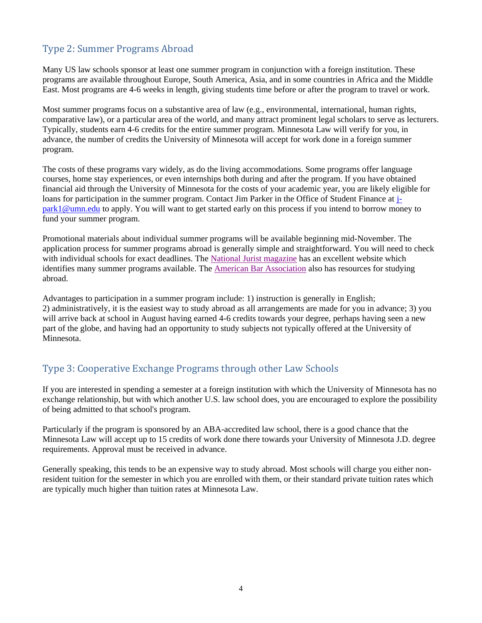# Type 2: Summer Programs Abroad

Many US law schools sponsor at least one summer program in conjunction with a foreign institution. These programs are available throughout Europe, South America, Asia, and in some countries in Africa and the Middle East. Most programs are 4-6 weeks in length, giving students time before or after the program to travel or work.

Most summer programs focus on a substantive area of law (e.g., environmental, international, human rights, comparative law), or a particular area of the world, and many attract prominent legal scholars to serve as lecturers. Typically, students earn 4-6 credits for the entire summer program. Minnesota Law will verify for you, in advance, the number of credits the University of Minnesota will accept for work done in a foreign summer program.

The costs of these programs vary widely, as do the living accommodations. Some programs offer language courses, home stay experiences, or even internships both during and after the program. If you have obtained financial aid through the University of Minnesota for the costs of your academic year, you are likely eligible for loans for participation in the summer program. Contact Jim Parker in the Office of Student Finance at [j](mailto:j-park1@umn.edu)[park1@umn.edu](mailto:j-park1@umn.edu) to apply. You will want to get started early on this process if you intend to borrow money to fund your summer program.

Promotional materials about individual summer programs will be available beginning mid-November. The application process for summer programs abroad is generally simple and straightforward. You will need to check with individual schools for exact deadlines. The [National Jurist magazine](http://www.nationaljurist.com/content/study-abroad) has an excellent website which identifies many summer programs available. The **American Bar Association** also has resources for studying abroad.

Advantages to participation in a summer program include: 1) instruction is generally in English; 2) administratively, it is the easiest way to study abroad as all arrangements are made for you in advance; 3) you will arrive back at school in August having earned 4-6 credits towards your degree, perhaps having seen a new part of the globe, and having had an opportunity to study subjects not typically offered at the University of Minnesota.

### Type 3: Cooperative Exchange Programs through other Law Schools

If you are interested in spending a semester at a foreign institution with which the University of Minnesota has no exchange relationship, but with which another U.S. law school does, you are encouraged to explore the possibility of being admitted to that school's program.

Particularly if the program is sponsored by an ABA-accredited law school, there is a good chance that the Minnesota Law will accept up to 15 credits of work done there towards your University of Minnesota J.D. degree requirements. Approval must be received in advance.

Generally speaking, this tends to be an expensive way to study abroad. Most schools will charge you either nonresident tuition for the semester in which you are enrolled with them, or their standard private tuition rates which are typically much higher than tuition rates at Minnesota Law.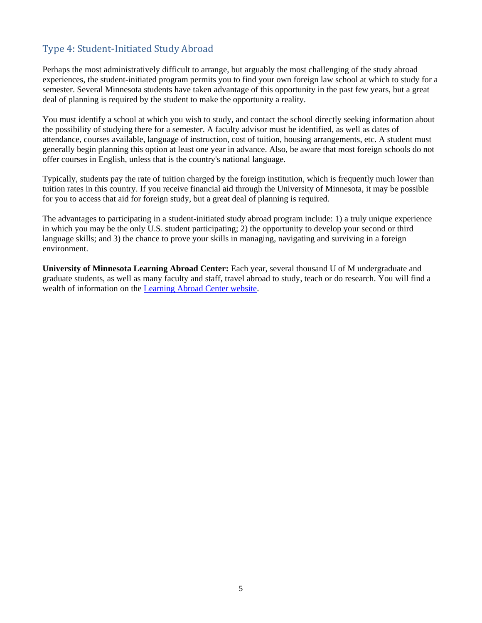## Type 4: Student-Initiated Study Abroad

Perhaps the most administratively difficult to arrange, but arguably the most challenging of the study abroad experiences, the student-initiated program permits you to find your own foreign law school at which to study for a semester. Several Minnesota students have taken advantage of this opportunity in the past few years, but a great deal of planning is required by the student to make the opportunity a reality.

You must identify a school at which you wish to study, and contact the school directly seeking information about the possibility of studying there for a semester. A faculty advisor must be identified, as well as dates of attendance, courses available, language of instruction, cost of tuition, housing arrangements, etc. A student must generally begin planning this option at least one year in advance. Also, be aware that most foreign schools do not offer courses in English, unless that is the country's national language.

Typically, students pay the rate of tuition charged by the foreign institution, which is frequently much lower than tuition rates in this country. If you receive financial aid through the University of Minnesota, it may be possible for you to access that aid for foreign study, but a great deal of planning is required.

The advantages to participating in a student-initiated study abroad program include: 1) a truly unique experience in which you may be the only U.S. student participating; 2) the opportunity to develop your second or third language skills; and 3) the chance to prove your skills in managing, navigating and surviving in a foreign environment.

**University of Minnesota Learning Abroad Center:** Each year, several thousand U of M undergraduate and graduate students, as well as many faculty and staff, travel abroad to study, teach or do research. You will find a wealth of information on the [Learning Abroad Center website.](https://umabroad.umn.edu/)